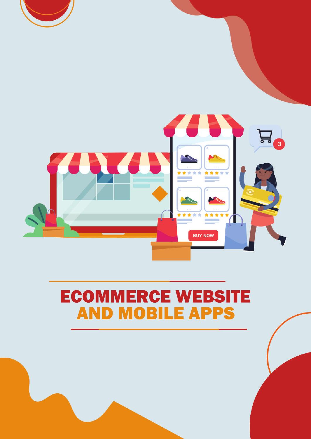

### AND MOBILE APPS ECOMMERCE WEBSITE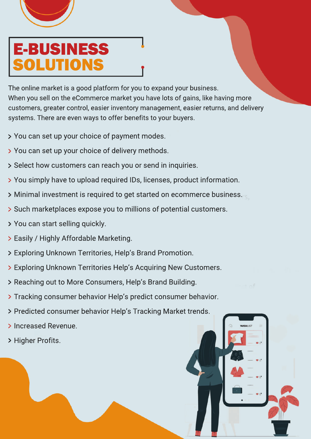

## E-BUSINESS UTION

The online market is a good platform for you to expand your business. When you sell on the eCommerce market you have lots of gains, like having more customers, greater control, easier inventory management, easier returns, and delivery systems. There are even ways to offer benefits to your buyers.

- You can set up your choice of payment modes.
- You can set up your choice of delivery methods.
- Select how customers can reach you or send in inquiries.
- You simply have to upload required IDs, licenses, product information.
- Minimal investment is required to get started on ecommerce business.
- Such marketplaces expose you to millions of potential customers.
- You can start selling quickly.
- Easily / Highly Affordable Marketing.
- Exploring Unknown Territories, Help's Brand Promotion.
- Exploring Unknown Territories Help's Acquiring New Customers.
- > Reaching out to More Consumers, Help's Brand Building.
- Tracking consumer behavior Help's predict consumer behavior.
- > Predicted consumer behavior Help's Tracking Market trends.
- > Increased Revenue.
- > Higher Profits.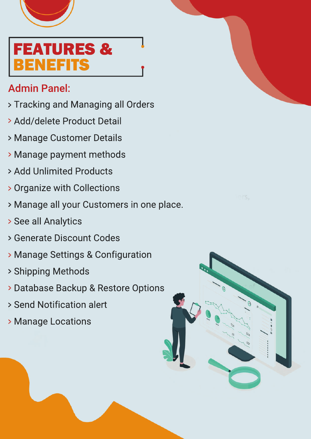

# FEATURES & BENEFITS

#### Admin Panel:

- Tracking and Managing all Orders
- Add/delete Product Detail
- Manage Customer Details
- Manage payment methods
- Add Unlimited Products
- Organize with Collections
- Manage all your Customers in one place.
- See all Analytics
- Generate Discount Codes
- Manage Settings & Configuration
- Shipping Methods
- Database Backup & Restore Options
- Send Notification alert
- **> Manage Locations**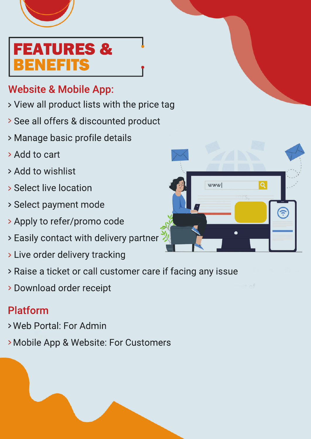

## FEATURES & IEE

### Website & Mobile App:

- View all product lists with the price tag
- See all offers & discounted product
- Manage basic profile details
- > Add to cart
- Add to wishlist
- **> Select live location**
- Select payment mode
- Apply to refer/promo code
- Easily contact with delivery partner
- Live order delivery tracking
- Raise a ticket or call customer care if facing any issue
- Download order receipt

### Platform

- Web Portal: For Admin
- Mobile App & Website: For Customers

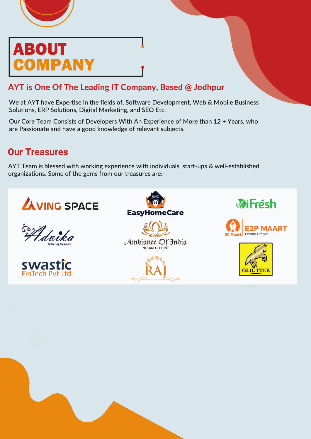

### ABOUT **MPANY**

#### **AYT is One Of The Leading IT Company, Based @ Jodhpur**

We at AYT have Expertise in the fields of, Software Development, Web & Mobile Business Solutions, ERP Solutions, Digital Marketing, and SEO Etc.

Our Core Team Consists of Developers With An Experience of More than 12 + Years, who are Passionate and have a good knowledge of relevant subjects.

#### **Our Treasures**

AYT Team is blessed with working experience with individuals, start-ups & well-established organizations. Some of the gems from our treasures are:-